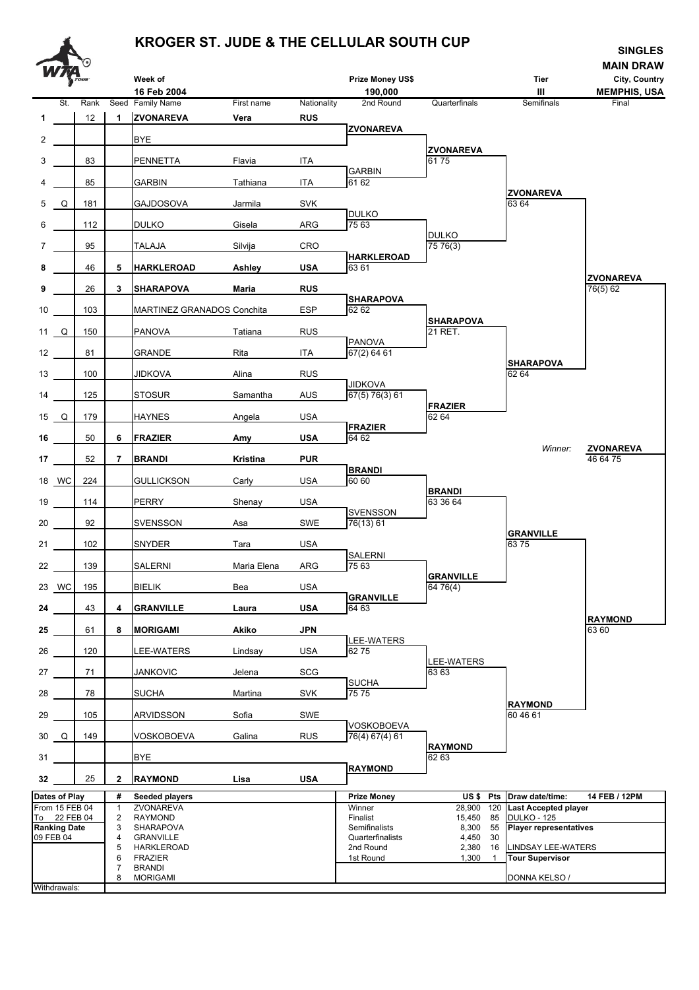## **KROGER ST. JUDE & THE CELLULAR SOUTH CUP SINGLES**

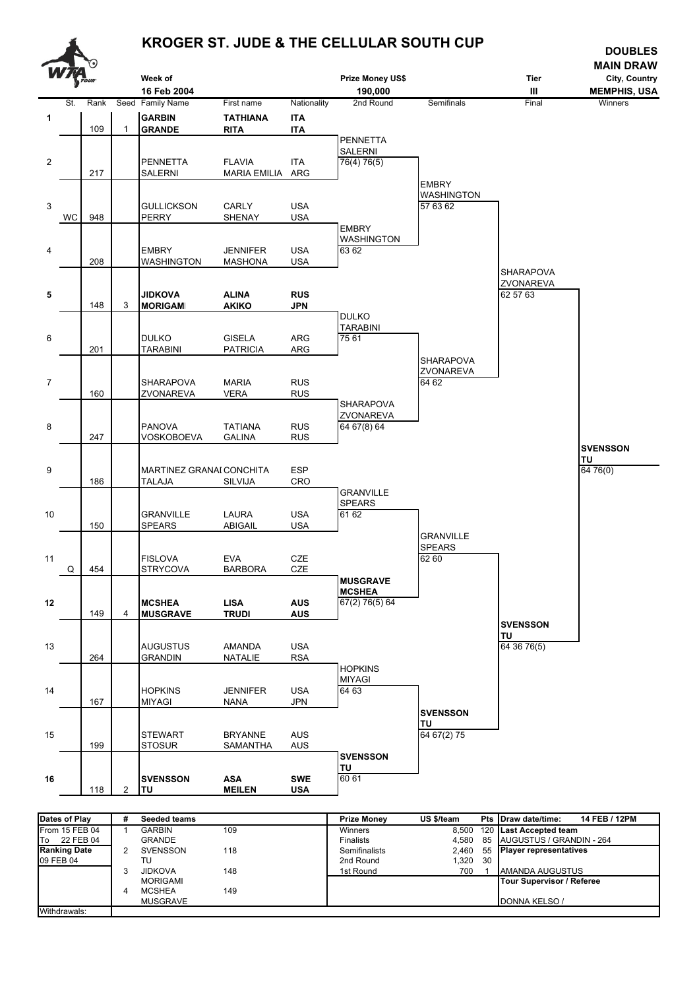

| Dates of Play          | # | <b>Seeded teams</b> |     | <b>Prize Monev</b> | US \$/team | Pts Draw date/time:<br>14 FEB / 12PM |
|------------------------|---|---------------------|-----|--------------------|------------|--------------------------------------|
| From 15 FEB 04         |   | GARBIN              | 109 | Winners            |            | 8.500 120 Last Accepted team         |
| <b>To</b><br>22 FEB 04 |   | <b>GRANDE</b>       |     | <b>Finalists</b>   | 4.580      | 85 AUGUSTUS / GRANDIN - 264          |
| <b>Ranking Date</b>    | 2 | <b>SVENSSON</b>     | 118 | Semifinalists      | 2.460      | 55 Player representatives            |
| 09 FEB 04              |   | TU                  |     | 2nd Round          | 1.320 30   |                                      |
|                        |   | <b>JIDKOVA</b>      | 148 | 1st Round          | 700        | <b>AMANDA AUGUSTUS</b>               |
|                        |   | <b>MORIGAMI</b>     |     |                    |            | Tour Supervisor / Referee            |
|                        | 4 | <b>MCSHEA</b>       | 149 |                    |            |                                      |
|                        |   | <b>MUSGRAVE</b>     |     |                    |            | DONNA KELSO /                        |
| Withdrawals:           |   |                     |     |                    |            |                                      |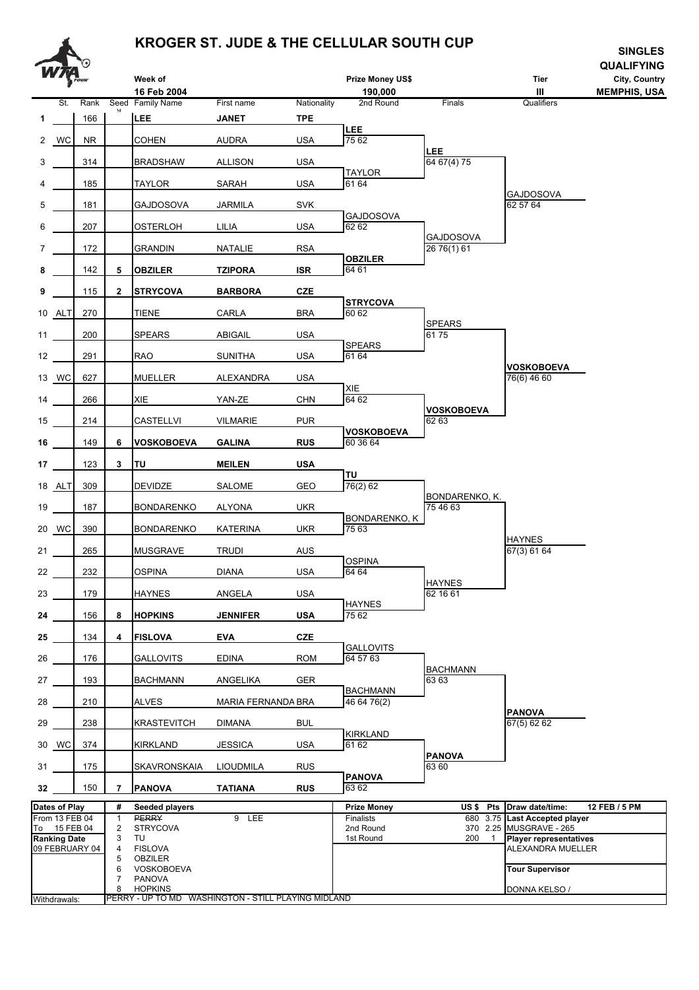

## **KROGER ST. JUDE & THE CELLULAR SOUTH CUP SINGLES**

|                 |                                                       | ೧              |                          | Week of<br>16 Feb 2004                                                    |                     |                    | Prize Money US\$<br>190,000         |                                   | Tier<br>Ш                                                                                                    | ᇭᇻᇦᆸᇦ<br><b>QUALIFYING</b><br>City, Country<br><b>MEMPHIS, USA</b> |
|-----------------|-------------------------------------------------------|----------------|--------------------------|---------------------------------------------------------------------------|---------------------|--------------------|-------------------------------------|-----------------------------------|--------------------------------------------------------------------------------------------------------------|--------------------------------------------------------------------|
| 1               | St.                                                   | Rank<br>166    |                          | Seed Family Name<br>LEE                                                   | First name<br>JANET | Nationality<br>TPE | 2nd Round                           | Finals                            | Qualifiers                                                                                                   |                                                                    |
|                 | 2 WC                                                  | NR.            |                          | <b>COHEN</b>                                                              | <b>AUDRA</b>        | <b>USA</b>         | LEE<br>75 62                        |                                   |                                                                                                              |                                                                    |
| 3               |                                                       | 314            |                          | <b>BRADSHAW</b>                                                           | <b>ALLISON</b>      | <b>USA</b>         |                                     | <b>LEE</b><br>64 67(4) 75         |                                                                                                              |                                                                    |
| 4               |                                                       | 185            |                          | <b>TAYLOR</b>                                                             | SARAH               | <b>USA</b>         | <b>TAYLOR</b><br>61 64              |                                   |                                                                                                              |                                                                    |
| 5               |                                                       | 181            |                          | GAJDOSOVA                                                                 | JARMILA             | <b>SVK</b>         |                                     |                                   | GAJDOSOVA<br>62 57 64                                                                                        |                                                                    |
| 6               |                                                       | 207            |                          | <b>OSTERLOH</b>                                                           | LILIA               | <b>USA</b>         | <b>GAJDOSOVA</b><br>62 62           |                                   |                                                                                                              |                                                                    |
| 7               |                                                       | 172            |                          | <b>GRANDIN</b>                                                            | NATALIE             | <b>RSA</b>         |                                     | GAJDOSOVA<br>26 76(1) 61          |                                                                                                              |                                                                    |
| 8               |                                                       | 142            | 5                        | <b>OBZILER</b>                                                            | <b>TZIPORA</b>      | <b>ISR</b>         | <b>OBZILER</b><br>64 61             |                                   |                                                                                                              |                                                                    |
| 9               |                                                       | 115            | $\mathbf{2}$             | <b>STRYCOVA</b>                                                           | <b>BARBORA</b>      | <b>CZE</b>         |                                     |                                   |                                                                                                              |                                                                    |
|                 | 10 ALT                                                | 270            |                          | <b>TIENE</b>                                                              | CARLA               | <b>BRA</b>         | <b>STRYCOVA</b><br>60 62            |                                   |                                                                                                              |                                                                    |
| 11              |                                                       | 200            |                          | <b>SPEARS</b>                                                             | <b>ABIGAIL</b>      | <b>USA</b>         |                                     | <b>SPEARS</b><br>6175             |                                                                                                              |                                                                    |
| 12              |                                                       | 291            |                          | <b>RAO</b>                                                                | <b>SUNITHA</b>      | <b>USA</b>         | <b>SPEARS</b><br>61 64              |                                   |                                                                                                              |                                                                    |
|                 | 13 WC                                                 | 627            |                          | MUELLER                                                                   | ALEXANDRA           | <b>USA</b>         |                                     |                                   | <b>VOSKOBOEVA</b><br>76(6) 46 60                                                                             |                                                                    |
| 14              |                                                       | 266            |                          | XIE                                                                       | YAN-ZE              | <b>CHN</b>         | XIE<br>64 62                        |                                   |                                                                                                              |                                                                    |
| 15              |                                                       | 214            |                          | CASTELLVI                                                                 | <b>VILMARIE</b>     | <b>PUR</b>         |                                     | <b>VOSKOBOEVA</b><br>62 63        |                                                                                                              |                                                                    |
| 16              |                                                       | 149            | 6                        | <b>VOSKOBOEVA</b>                                                         | <b>GALINA</b>       | <b>RUS</b>         | <b>VOSKOBOEVA</b><br>60 36 64       |                                   |                                                                                                              |                                                                    |
| 17 <sub>1</sub> |                                                       | 123            | 3                        | <b>TU</b>                                                                 | <b>MEILEN</b>       | <b>USA</b>         |                                     |                                   |                                                                                                              |                                                                    |
|                 | 18 ALT                                                | 309            |                          | <b>DEVIDZE</b>                                                            | <b>SALOME</b>       | GEO                | TU<br>76(2) 62                      |                                   |                                                                                                              |                                                                    |
| 19              |                                                       | 187            |                          | <b>BONDARENKO</b>                                                         | ALYONA              | <b>UKR</b>         |                                     | BONDARENKO, K.<br>75 46 63        |                                                                                                              |                                                                    |
|                 | 20 WC                                                 | 390            |                          | <b>BONDARENKO</b>                                                         | <b>KATERINA</b>     | UKR                | <b>BONDARENKO, K</b><br>75 63       |                                   |                                                                                                              |                                                                    |
| 21              |                                                       | 265            |                          | <b>MUSGRAVE</b>                                                           | <b>TRUDI</b>        | <b>AUS</b>         |                                     |                                   | <b>HAYNES</b><br>67(3) 61 64                                                                                 |                                                                    |
| 22              |                                                       | 232            |                          | <b>OSPINA</b>                                                             | <b>DIANA</b>        | <b>USA</b>         | <b>OSPINA</b><br>64 64              |                                   |                                                                                                              |                                                                    |
| 23              |                                                       | 179            |                          | <b>HAYNES</b>                                                             | ANGELA              | <b>USA</b>         |                                     | <b>HAYNES</b><br>62 16 61         |                                                                                                              |                                                                    |
| 24              |                                                       | 156            | 8                        | <b>HOPKINS</b>                                                            | <b>JENNIFER</b>     | <b>USA</b>         | <b>HAYNES</b><br>75 62              |                                   |                                                                                                              |                                                                    |
| 25              |                                                       | 134            | 4                        | <b>FISLOVA</b>                                                            | <b>EVA</b>          | <b>CZE</b>         |                                     |                                   |                                                                                                              |                                                                    |
| 26              |                                                       | 176            |                          | <b>GALLOVITS</b>                                                          | <b>EDINA</b>        | <b>ROM</b>         | <b>GALLOVITS</b><br>64 57 63        |                                   |                                                                                                              |                                                                    |
| 27              |                                                       | 193            |                          | <b>BACHMANN</b>                                                           | ANGELIKA            | GER                |                                     | <b>BACHMANN</b><br>6363           |                                                                                                              |                                                                    |
| 28              |                                                       | 210            |                          | <b>ALVES</b>                                                              | MARIA FERNANDA BRA  |                    | <b>BACHMANN</b><br>46 64 76(2)      |                                   |                                                                                                              |                                                                    |
| 29              |                                                       | 238            |                          | <b>KRASTEVITCH</b>                                                        | <b>DIMANA</b>       | <b>BUL</b>         |                                     |                                   | <b>PANOVA</b><br>67(5) 62 62                                                                                 |                                                                    |
|                 | 30 WC                                                 | 374            |                          | <b>KIRKLAND</b>                                                           | <b>JESSICA</b>      | <b>USA</b>         | <b>KIRKLAND</b><br>61 62            |                                   |                                                                                                              |                                                                    |
| 31              |                                                       | 175            |                          | SKAVRONSKAIA                                                              | LIOUDMILA           | <b>RUS</b>         |                                     | <b>PANOVA</b><br>63 60            |                                                                                                              |                                                                    |
| 32              |                                                       | 150            | 7                        | <b>PANOVA</b>                                                             | <b>TATIANA</b>      | <b>RUS</b>         | <b>PANOVA</b><br>63 62              |                                   |                                                                                                              |                                                                    |
|                 | Dates of Play                                         |                | #                        | Seeded players                                                            |                     |                    | <b>Prize Money</b>                  | US\$ Pts                          | Draw date/time:                                                                                              | 12 FEB / 5 PM                                                      |
|                 | From 13 FEB 04<br>To 15 FEB 04<br><b>Ranking Date</b> | 09 FEBRUARY 04 | 1<br>2<br>3<br>4<br>5    | <b>PERRY</b><br><b>STRYCOVA</b><br>TU<br><b>FISLOVA</b><br><b>OBZILER</b> | 9 LEE               |                    | Finalists<br>2nd Round<br>1st Round | 680 3.75<br>200<br>$\overline{1}$ | <b>Last Accepted player</b><br>370 2.25 MUSGRAVE - 265<br><b>Player representatives</b><br>ALEXANDRA MUELLER |                                                                    |
| Withdrawals:    |                                                       |                | 6<br>$\overline{7}$<br>8 | VOSKOBOEVA<br><b>PANOVA</b><br><b>HOPKINS</b>                             |                     |                    |                                     |                                   | <b>Tour Supervisor</b><br>DONNA KELSO /                                                                      |                                                                    |